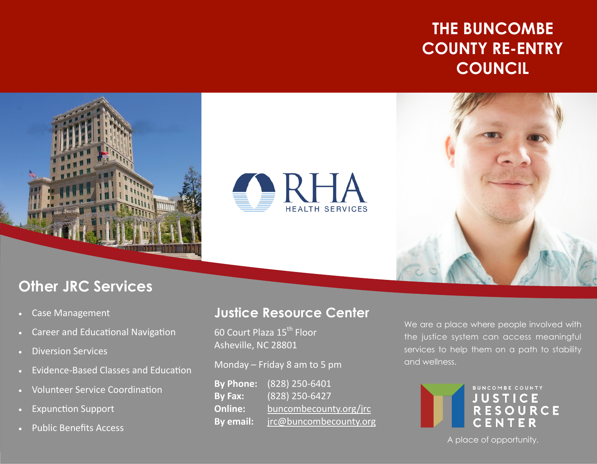# **THE BUNCOMBE COUNTY RE-ENTRY COUNCIL**







# **Other JRC Services**

- Case Management
- Career and Educational Navigation
- Diversion Services
- Evidence-Based Classes and Education
- Volunteer Service Coordination
- Expunction Support
- Public Benefits Access

### **Justice Resource Center**

60 Court Plaza 15<sup>th</sup> Floor Asheville, NC 28801

Monday – Friday 8 am to 5 pm

|                | <b>By Phone:</b> (828) 250-6401 |
|----------------|---------------------------------|
| By Fax:        | $(828)$ 250-6427                |
| <b>Online:</b> | buncombecounty.org/jrc          |
| By email:      | irc@buncombecounty.org          |

We are a place where people involved with the justice system can access meaningful services to help them on a path to stability and wellness.



A place of opportunity.